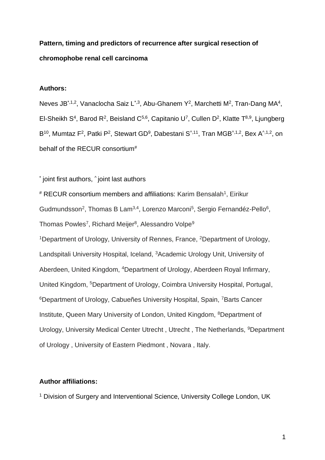# **Pattern, timing and predictors of recurrence after surgical resection of chromophobe renal cell carcinoma**

## **Authors:**

Neves JB<sup>\*,1,2</sup>, Vanaclocha Saiz L<sup>\*,3</sup>, Abu-Ghanem Y<sup>2</sup>, Marchetti M<sup>2</sup>, Tran-Dang MA<sup>4</sup>, El-Sheikh S<sup>4</sup>, Barod R<sup>2</sup>, Beisland C<sup>5,6</sup>, Capitanio U<sup>7</sup>, Cullen D<sup>2</sup>, Klatte T<sup>8,9</sup>, Ljungberg B<sup>10</sup>, Mumtaz F<sup>2</sup>, Patki P<sup>2</sup>, Stewart GD<sup>9</sup>, Dabestani S<sup>^,11</sup>, Tran MGB<sup>^,1,2</sup>, Bex A<sup>^,1,2</sup>, on behalf of the RECUR consortium<sup>#</sup>

\* joint first authors, ^ joint last authors

# RECUR consortium members and affiliations: Karim Bensalah<sup>1</sup>, Eirikur Gudmundsson<sup>2</sup>, Thomas B Lam<sup>3,4</sup>, Lorenzo Marconi<sup>5</sup>, Sergio Fernandéz-Pello<sup>6</sup>, Thomas Powles<sup>7</sup>, Richard Meijer $^8$ , Alessandro Volpe $^9$ <sup>1</sup>Department of Urology, University of Rennes, France, <sup>2</sup>Department of Urology, Landspitali University Hospital, Iceland, <sup>3</sup>Academic Urology Unit, University of Aberdeen, United Kingdom, <sup>4</sup>Department of Urology, Aberdeen Royal Infirmary, United Kingdom, <sup>5</sup>Department of Urology, Coimbra University Hospital, Portugal, <sup>6</sup>Department of Urology, Cabueñes University Hospital, Spain, <sup>7</sup>Barts Cancer Institute, Queen Mary University of London, United Kingdom, <sup>8</sup>Department of Urology, University Medical Center Utrecht , Utrecht , The Netherlands, <sup>9</sup>Department of Urology , University of Eastern Piedmont , Novara , Italy.

### **Author affiliations:**

<sup>1</sup> Division of Surgery and Interventional Science, University College London, UK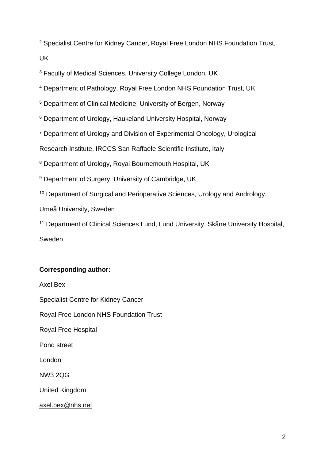<sup>2</sup> Specialist Centre for Kidney Cancer, Royal Free London NHS Foundation Trust, UK

<sup>3</sup> Faculty of Medical Sciences, University College London, UK

<sup>4</sup> Department of Pathology, Royal Free London NHS Foundation Trust, UK

<sup>5</sup> Department of Clinical Medicine, University of Bergen, Norway

<sup>6</sup> Department of Urology, Haukeland University Hospital, Norway

<sup>7</sup> Department of Urology and Division of Experimental Oncology, Urological

Research Institute, IRCCS San Raffaele Scientific Institute, Italy

<sup>8</sup> Department of Urology, Royal Bournemouth Hospital, UK

<sup>9</sup> Department of Surgery, University of Cambridge, UK

<sup>10</sup> Department of Surgical and Perioperative Sciences, Urology and Andrology,

Umeå University, Sweden

<sup>11</sup> Department of Clinical Sciences Lund, Lund University, Skåne University Hospital,

Sweden

## **Corresponding author:**

Axel Bex Specialist Centre for Kidney Cancer Royal Free London NHS Foundation Trust Royal Free Hospital Pond street London NW3 2QG United Kingdom [axel.bex@nhs.net](mailto:axel.bex@nhs.net)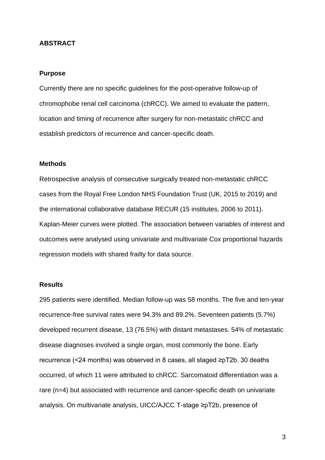#### **ABSTRACT**

#### **Purpose**

Currently there are no specific guidelines for the post-operative follow-up of chromophobe renal cell carcinoma (chRCC). We aimed to evaluate the pattern, location and timing of recurrence after surgery for non-metastatic chRCC and establish predictors of recurrence and cancer-specific death.

#### **Methods**

Retrospective analysis of consecutive surgically treated non-metastatic chRCC cases from the Royal Free London NHS Foundation Trust (UK, 2015 to 2019) and the international collaborative database RECUR (15 institutes, 2006 to 2011). Kaplan-Meier curves were plotted. The association between variables of interest and outcomes were analysed using univariate and multivariate Cox proportional hazards regression models with shared frailty for data source.

### **Results**

295 patients were identified. Median follow-up was 58 months. The five and ten-year recurrence-free survival rates were 94.3% and 89.2%. Seventeen patients (5.7%) developed recurrent disease, 13 (76.5%) with distant metastases. 54% of metastatic disease diagnoses involved a single organ, most commonly the bone. Early recurrence (<24 months) was observed in 8 cases, all staged ≥pT2b. 30 deaths occurred, of which 11 were attributed to chRCC. Sarcomatoid differentiation was a rare (n=4) but associated with recurrence and cancer-specific death on univariate analysis. On multivariate analysis, UICC/AJCC T-stage ≥pT2b, presence of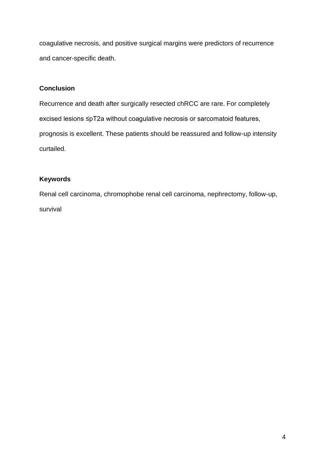coagulative necrosis, and positive surgical margins were predictors of recurrence and cancer-specific death.

## **Conclusion**

Recurrence and death after surgically resected chRCC are rare. For completely excised lesions ≤pT2a without coagulative necrosis or sarcomatoid features, prognosis is excellent. These patients should be reassured and follow-up intensity curtailed.

## **Keywords**

Renal cell carcinoma, chromophobe renal cell carcinoma, nephrectomy, follow-up, survival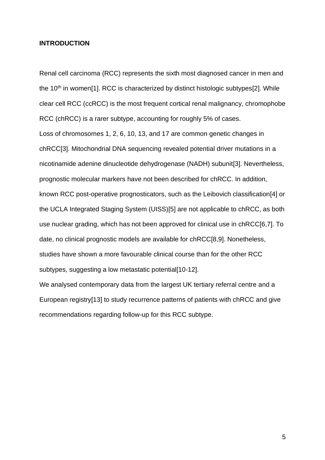#### **INTRODUCTION**

Renal cell carcinoma (RCC) represents the sixth most diagnosed cancer in men and the 10<sup>th</sup> in women[1]. RCC is characterized by distinct histologic subtypes[2]. While clear cell RCC (ccRCC) is the most frequent cortical renal malignancy, chromophobe RCC (chRCC) is a rarer subtype, accounting for roughly 5% of cases. Loss of chromosomes 1, 2, 6, 10, 13, and 17 are common genetic changes in chRCC[3]. Mitochondrial DNA sequencing revealed potential driver mutations in a nicotinamide adenine dinucleotide dehydrogenase (NADH) subunit[3]. Nevertheless, prognostic molecular markers have not been described for chRCC. In addition, known RCC post-operative prognosticators, such as the Leibovich classification[4] or the UCLA Integrated Staging System (UISS)[5] are not applicable to chRCC, as both use nuclear grading, which has not been approved for clinical use in chRCC[6,7]. To date, no clinical prognostic models are available for chRCC[8,9]. Nonetheless, studies have shown a more favourable clinical course than for the other RCC subtypes, suggesting a low metastatic potential [10-12].

We analysed contemporary data from the largest UK tertiary referral centre and a European registry[13] to study recurrence patterns of patients with chRCC and give recommendations regarding follow-up for this RCC subtype.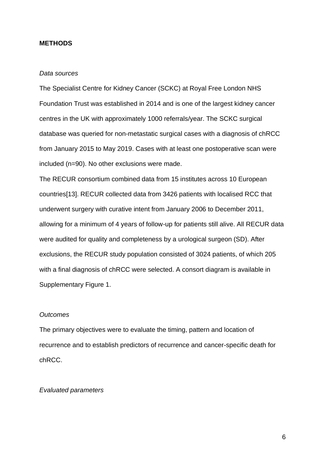#### **METHODS**

#### *Data sources*

The Specialist Centre for Kidney Cancer (SCKC) at Royal Free London NHS Foundation Trust was established in 2014 and is one of the largest kidney cancer centres in the UK with approximately 1000 referrals/year. The SCKC surgical database was queried for non-metastatic surgical cases with a diagnosis of chRCC from January 2015 to May 2019. Cases with at least one postoperative scan were included (n=90). No other exclusions were made.

The RECUR consortium combined data from 15 institutes across 10 European countries[13]. RECUR collected data from 3426 patients with localised RCC that underwent surgery with curative intent from January 2006 to December 2011, allowing for a minimum of 4 years of follow-up for patients still alive. All RECUR data were audited for quality and completeness by a urological surgeon (SD). After exclusions, the RECUR study population consisted of 3024 patients, of which 205 with a final diagnosis of chRCC were selected. A consort diagram is available in Supplementary Figure 1.

#### *Outcomes*

The primary objectives were to evaluate the timing, pattern and location of recurrence and to establish predictors of recurrence and cancer-specific death for chRCC.

#### *Evaluated parameters*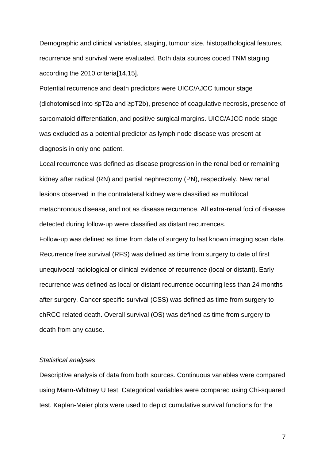Demographic and clinical variables, staging, tumour size, histopathological features, recurrence and survival were evaluated. Both data sources coded TNM staging according the 2010 criteria[14,15].

Potential recurrence and death predictors were UICC/AJCC tumour stage (dichotomised into ≤pT2a and ≥pT2b), presence of coagulative necrosis, presence of sarcomatoid differentiation, and positive surgical margins. UICC/AJCC node stage was excluded as a potential predictor as lymph node disease was present at diagnosis in only one patient.

Local recurrence was defined as disease progression in the renal bed or remaining kidney after radical (RN) and partial nephrectomy (PN), respectively. New renal lesions observed in the contralateral kidney were classified as multifocal metachronous disease, and not as disease recurrence. All extra-renal foci of disease detected during follow-up were classified as distant recurrences.

Follow-up was defined as time from date of surgery to last known imaging scan date. Recurrence free survival (RFS) was defined as time from surgery to date of first unequivocal radiological or clinical evidence of recurrence (local or distant). Early recurrence was defined as local or distant recurrence occurring less than 24 months after surgery. Cancer specific survival (CSS) was defined as time from surgery to chRCC related death. Overall survival (OS) was defined as time from surgery to death from any cause.

#### *Statistical analyses*

Descriptive analysis of data from both sources. Continuous variables were compared using Mann-Whitney U test. Categorical variables were compared using Chi-squared test. Kaplan-Meier plots were used to depict cumulative survival functions for the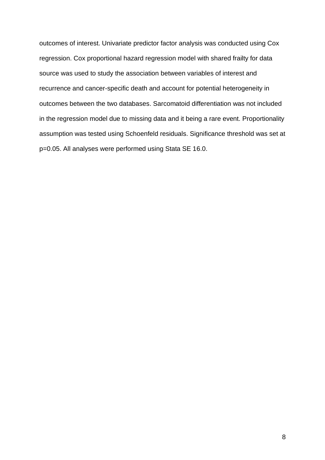outcomes of interest. Univariate predictor factor analysis was conducted using Cox regression. Cox proportional hazard regression model with shared frailty for data source was used to study the association between variables of interest and recurrence and cancer-specific death and account for potential heterogeneity in outcomes between the two databases. Sarcomatoid differentiation was not included in the regression model due to missing data and it being a rare event. Proportionality assumption was tested using Schoenfeld residuals. Significance threshold was set at p=0.05. All analyses were performed using Stata SE 16.0.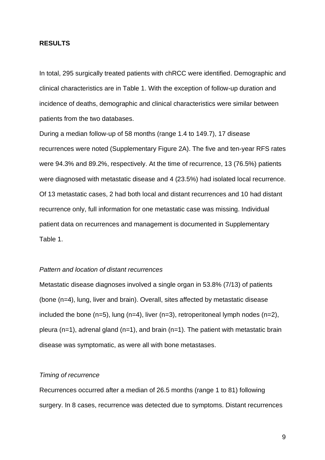#### **RESULTS**

In total, 295 surgically treated patients with chRCC were identified. Demographic and clinical characteristics are in Table 1. With the exception of follow-up duration and incidence of deaths, demographic and clinical characteristics were similar between patients from the two databases.

During a median follow-up of 58 months (range 1.4 to 149.7), 17 disease recurrences were noted (Supplementary Figure 2A). The five and ten-year RFS rates were 94.3% and 89.2%, respectively. At the time of recurrence, 13 (76.5%) patients were diagnosed with metastatic disease and 4 (23.5%) had isolated local recurrence. Of 13 metastatic cases, 2 had both local and distant recurrences and 10 had distant recurrence only, full information for one metastatic case was missing. Individual patient data on recurrences and management is documented in Supplementary Table 1.

#### *Pattern and location of distant recurrences*

Metastatic disease diagnoses involved a single organ in 53.8% (7/13) of patients (bone (n=4), lung, liver and brain). Overall, sites affected by metastatic disease included the bone  $(n=5)$ , lung  $(n=4)$ , liver  $(n=3)$ , retroperitoneal lymph nodes  $(n=2)$ , pleura (n=1), adrenal gland (n=1), and brain (n=1). The patient with metastatic brain disease was symptomatic, as were all with bone metastases.

#### *Timing of recurrence*

Recurrences occurred after a median of 26.5 months (range 1 to 81) following surgery. In 8 cases, recurrence was detected due to symptoms. Distant recurrences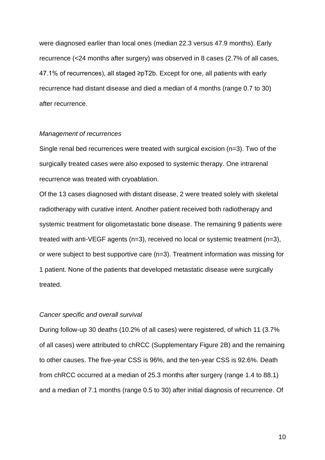were diagnosed earlier than local ones (median 22.3 versus 47.9 months). Early recurrence (<24 months after surgery) was observed in 8 cases (2.7% of all cases, 47.1% of recurrences), all staged ≥pT2b. Except for one, all patients with early recurrence had distant disease and died a median of 4 months (range 0.7 to 30) after recurrence.

#### *Management of recurrences*

Single renal bed recurrences were treated with surgical excision (n=3). Two of the surgically treated cases were also exposed to systemic therapy. One intrarenal recurrence was treated with cryoablation.

Of the 13 cases diagnosed with distant disease, 2 were treated solely with skeletal radiotherapy with curative intent. Another patient received both radiotherapy and systemic treatment for oligometastatic bone disease. The remaining 9 patients were treated with anti-VEGF agents (n=3), received no local or systemic treatment (n=3), or were subject to best supportive care (n=3). Treatment information was missing for 1 patient. None of the patients that developed metastatic disease were surgically treated.

#### *Cancer specific and overall survival*

During follow-up 30 deaths (10.2% of all cases) were registered, of which 11 (3.7% of all cases) were attributed to chRCC (Supplementary Figure 2B) and the remaining to other causes. The five-year CSS is 96%, and the ten-year CSS is 92.6%. Death from chRCC occurred at a median of 25.3 months after surgery (range 1.4 to 88.1) and a median of 7.1 months (range 0.5 to 30) after initial diagnosis of recurrence. Of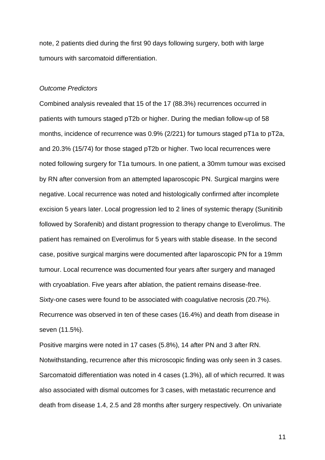note, 2 patients died during the first 90 days following surgery, both with large tumours with sarcomatoid differentiation.

#### *Outcome Predictors*

Combined analysis revealed that 15 of the 17 (88.3%) recurrences occurred in patients with tumours staged pT2b or higher. During the median follow-up of 58 months, incidence of recurrence was 0.9% (2/221) for tumours staged pT1a to pT2a, and 20.3% (15/74) for those staged pT2b or higher. Two local recurrences were noted following surgery for T1a tumours. In one patient, a 30mm tumour was excised by RN after conversion from an attempted laparoscopic PN. Surgical margins were negative. Local recurrence was noted and histologically confirmed after incomplete excision 5 years later. Local progression led to 2 lines of systemic therapy (Sunitinib followed by Sorafenib) and distant progression to therapy change to Everolimus. The patient has remained on Everolimus for 5 years with stable disease. In the second case, positive surgical margins were documented after laparoscopic PN for a 19mm tumour. Local recurrence was documented four years after surgery and managed with cryoablation. Five years after ablation, the patient remains disease-free. Sixty-one cases were found to be associated with coagulative necrosis (20.7%). Recurrence was observed in ten of these cases (16.4%) and death from disease in seven (11.5%).

Positive margins were noted in 17 cases (5.8%), 14 after PN and 3 after RN. Notwithstanding, recurrence after this microscopic finding was only seen in 3 cases. Sarcomatoid differentiation was noted in 4 cases (1.3%), all of which recurred. It was also associated with dismal outcomes for 3 cases, with metastatic recurrence and death from disease 1.4, 2.5 and 28 months after surgery respectively. On univariate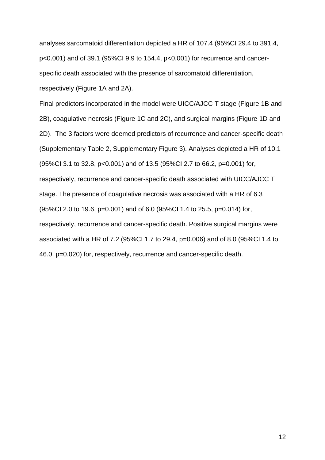analyses sarcomatoid differentiation depicted a HR of 107.4 (95%CI 29.4 to 391.4, p<0.001) and of 39.1 (95%CI 9.9 to 154.4, p<0.001) for recurrence and cancerspecific death associated with the presence of sarcomatoid differentiation, respectively (Figure 1A and 2A).

Final predictors incorporated in the model were UICC/AJCC T stage (Figure 1B and 2B), coagulative necrosis (Figure 1C and 2C), and surgical margins (Figure 1D and 2D). The 3 factors were deemed predictors of recurrence and cancer-specific death (Supplementary Table 2, Supplementary Figure 3). Analyses depicted a HR of 10.1 (95%CI 3.1 to 32.8, p<0.001) and of 13.5 (95%CI 2.7 to 66.2, p=0.001) for, respectively, recurrence and cancer-specific death associated with UICC/AJCC T stage. The presence of coagulative necrosis was associated with a HR of 6.3 (95%CI 2.0 to 19.6, p=0.001) and of 6.0 (95%CI 1.4 to 25.5, p=0.014) for, respectively, recurrence and cancer-specific death. Positive surgical margins were associated with a HR of 7.2 (95%CI 1.7 to 29.4, p=0.006) and of 8.0 (95%CI 1.4 to 46.0, p=0.020) for, respectively, recurrence and cancer-specific death.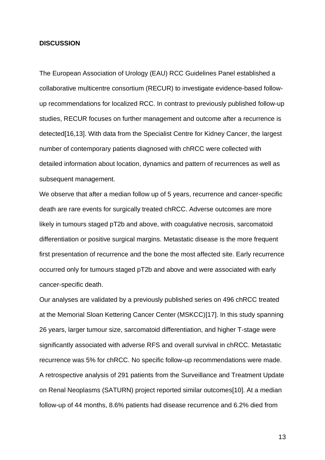#### **DISCUSSION**

The European Association of Urology (EAU) RCC Guidelines Panel established a collaborative multicentre consortium (RECUR) to investigate evidence-based followup recommendations for localized RCC. In contrast to previously published follow-up studies, RECUR focuses on further management and outcome after a recurrence is detected[16,13]. With data from the Specialist Centre for Kidney Cancer, the largest number of contemporary patients diagnosed with chRCC were collected with detailed information about location, dynamics and pattern of recurrences as well as subsequent management.

We observe that after a median follow up of 5 years, recurrence and cancer-specific death are rare events for surgically treated chRCC. Adverse outcomes are more likely in tumours staged pT2b and above, with coagulative necrosis, sarcomatoid differentiation or positive surgical margins. Metastatic disease is the more frequent first presentation of recurrence and the bone the most affected site. Early recurrence occurred only for tumours staged pT2b and above and were associated with early cancer-specific death.

Our analyses are validated by a previously published series on 496 chRCC treated at the Memorial Sloan Kettering Cancer Center (MSKCC)[17]. In this study spanning 26 years, larger tumour size, sarcomatoid differentiation, and higher T-stage were significantly associated with adverse RFS and overall survival in chRCC. Metastatic recurrence was 5% for chRCC. No specific follow-up recommendations were made. A retrospective analysis of 291 patients from the Surveillance and Treatment Update on Renal Neoplasms (SATURN) project reported similar outcomes[10]. At a median follow-up of 44 months, 8.6% patients had disease recurrence and 6.2% died from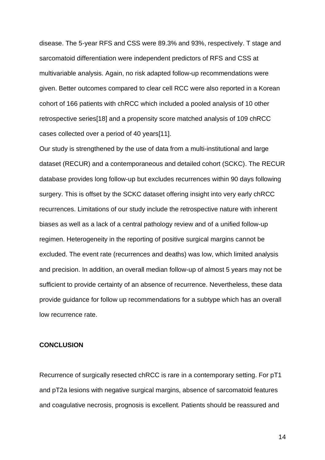disease. The 5-year RFS and CSS were 89.3% and 93%, respectively. T stage and sarcomatoid differentiation were independent predictors of RFS and CSS at multivariable analysis. Again, no risk adapted follow-up recommendations were given. Better outcomes compared to clear cell RCC were also reported in a Korean cohort of 166 patients with chRCC which included a pooled analysis of 10 other retrospective series[18] and a propensity score matched analysis of 109 chRCC cases collected over a period of 40 years[11].

Our study is strengthened by the use of data from a multi-institutional and large dataset (RECUR) and a contemporaneous and detailed cohort (SCKC). The RECUR database provides long follow-up but excludes recurrences within 90 days following surgery. This is offset by the SCKC dataset offering insight into very early chRCC recurrences. Limitations of our study include the retrospective nature with inherent biases as well as a lack of a central pathology review and of a unified follow-up regimen. Heterogeneity in the reporting of positive surgical margins cannot be excluded. The event rate (recurrences and deaths) was low, which limited analysis and precision. In addition, an overall median follow-up of almost 5 years may not be sufficient to provide certainty of an absence of recurrence. Nevertheless, these data provide guidance for follow up recommendations for a subtype which has an overall low recurrence rate.

#### **CONCLUSION**

Recurrence of surgically resected chRCC is rare in a contemporary setting. For pT1 and pT2a lesions with negative surgical margins, absence of sarcomatoid features and coagulative necrosis, prognosis is excellent. Patients should be reassured and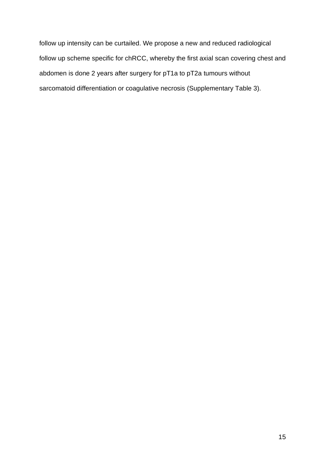follow up intensity can be curtailed. We propose a new and reduced radiological follow up scheme specific for chRCC, whereby the first axial scan covering chest and abdomen is done 2 years after surgery for pT1a to pT2a tumours without sarcomatoid differentiation or coagulative necrosis (Supplementary Table 3).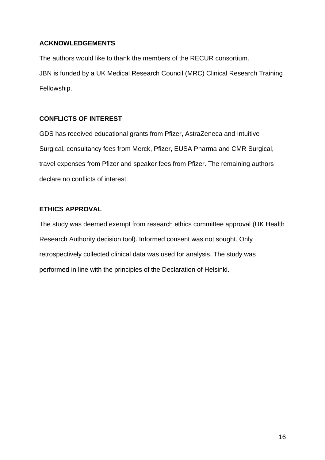## **ACKNOWLEDGEMENTS**

The authors would like to thank the members of the RECUR consortium. JBN is funded by a UK Medical Research Council (MRC) Clinical Research Training Fellowship.

## **CONFLICTS OF INTEREST**

GDS has received educational grants from Pfizer, AstraZeneca and Intuitive Surgical, consultancy fees from Merck, Pfizer, EUSA Pharma and CMR Surgical, travel expenses from Pfizer and speaker fees from Pfizer. The remaining authors declare no conflicts of interest.

## **ETHICS APPROVAL**

The study was deemed exempt from research ethics committee approval (UK Health Research Authority decision tool). Informed consent was not sought. Only retrospectively collected clinical data was used for analysis. The study was performed in line with the principles of the Declaration of Helsinki.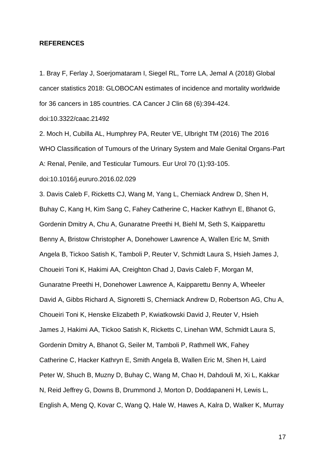#### **REFERENCES**

1. Bray F, Ferlay J, Soerjomataram I, Siegel RL, Torre LA, Jemal A (2018) Global cancer statistics 2018: GLOBOCAN estimates of incidence and mortality worldwide for 36 cancers in 185 countries. CA Cancer J Clin 68 (6):394-424.

doi:10.3322/caac.21492

2. Moch H, Cubilla AL, Humphrey PA, Reuter VE, Ulbright TM (2016) The 2016 WHO Classification of Tumours of the Urinary System and Male Genital Organs-Part A: Renal, Penile, and Testicular Tumours. Eur Urol 70 (1):93-105.

doi:10.1016/j.eururo.2016.02.029

3. Davis Caleb F, Ricketts CJ, Wang M, Yang L, Cherniack Andrew D, Shen H, Buhay C, Kang H, Kim Sang C, Fahey Catherine C, Hacker Kathryn E, Bhanot G, Gordenin Dmitry A, Chu A, Gunaratne Preethi H, Biehl M, Seth S, Kaipparettu Benny A, Bristow Christopher A, Donehower Lawrence A, Wallen Eric M, Smith Angela B, Tickoo Satish K, Tamboli P, Reuter V, Schmidt Laura S, Hsieh James J, Choueiri Toni K, Hakimi AA, Creighton Chad J, Davis Caleb F, Morgan M, Gunaratne Preethi H, Donehower Lawrence A, Kaipparettu Benny A, Wheeler David A, Gibbs Richard A, Signoretti S, Cherniack Andrew D, Robertson AG, Chu A, Choueiri Toni K, Henske Elizabeth P, Kwiatkowski David J, Reuter V, Hsieh James J, Hakimi AA, Tickoo Satish K, Ricketts C, Linehan WM, Schmidt Laura S, Gordenin Dmitry A, Bhanot G, Seiler M, Tamboli P, Rathmell WK, Fahey Catherine C, Hacker Kathryn E, Smith Angela B, Wallen Eric M, Shen H, Laird Peter W, Shuch B, Muzny D, Buhay C, Wang M, Chao H, Dahdouli M, Xi L, Kakkar N, Reid Jeffrey G, Downs B, Drummond J, Morton D, Doddapaneni H, Lewis L, English A, Meng Q, Kovar C, Wang Q, Hale W, Hawes A, Kalra D, Walker K, Murray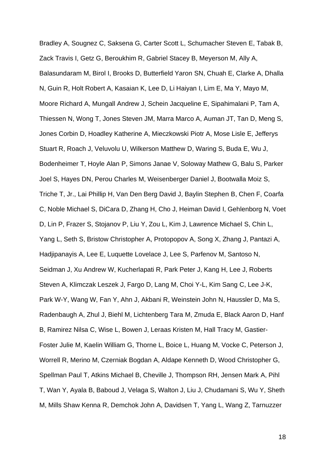Bradley A, Sougnez C, Saksena G, Carter Scott L, Schumacher Steven E, Tabak B, Zack Travis I, Getz G, Beroukhim R, Gabriel Stacey B, Meyerson M, Ally A, Balasundaram M, Birol I, Brooks D, Butterfield Yaron SN, Chuah E, Clarke A, Dhalla N, Guin R, Holt Robert A, Kasaian K, Lee D, Li Haiyan I, Lim E, Ma Y, Mayo M, Moore Richard A, Mungall Andrew J, Schein Jacqueline E, Sipahimalani P, Tam A, Thiessen N, Wong T, Jones Steven JM, Marra Marco A, Auman JT, Tan D, Meng S, Jones Corbin D, Hoadley Katherine A, Mieczkowski Piotr A, Mose Lisle E, Jefferys Stuart R, Roach J, Veluvolu U, Wilkerson Matthew D, Waring S, Buda E, Wu J, Bodenheimer T, Hoyle Alan P, Simons Janae V, Soloway Mathew G, Balu S, Parker Joel S, Hayes DN, Perou Charles M, Weisenberger Daniel J, Bootwalla Moiz S, Triche T, Jr., Lai Phillip H, Van Den Berg David J, Baylin Stephen B, Chen F, Coarfa C, Noble Michael S, DiCara D, Zhang H, Cho J, Heiman David I, Gehlenborg N, Voet D, Lin P, Frazer S, Stojanov P, Liu Y, Zou L, Kim J, Lawrence Michael S, Chin L, Yang L, Seth S, Bristow Christopher A, Protopopov A, Song X, Zhang J, Pantazi A, Hadjipanayis A, Lee E, Luquette Lovelace J, Lee S, Parfenov M, Santoso N, Seidman J, Xu Andrew W, Kucherlapati R, Park Peter J, Kang H, Lee J, Roberts Steven A, Klimczak Leszek J, Fargo D, Lang M, Choi Y-L, Kim Sang C, Lee J-K, Park W-Y, Wang W, Fan Y, Ahn J, Akbani R, Weinstein John N, Haussler D, Ma S, Radenbaugh A, Zhul J, Biehl M, Lichtenberg Tara M, Zmuda E, Black Aaron D, Hanf B, Ramirez Nilsa C, Wise L, Bowen J, Leraas Kristen M, Hall Tracy M, Gastier-Foster Julie M, Kaelin William G, Thorne L, Boice L, Huang M, Vocke C, Peterson J, Worrell R, Merino M, Czerniak Bogdan A, Aldape Kenneth D, Wood Christopher G, Spellman Paul T, Atkins Michael B, Cheville J, Thompson RH, Jensen Mark A, Pihl T, Wan Y, Ayala B, Baboud J, Velaga S, Walton J, Liu J, Chudamani S, Wu Y, Sheth M, Mills Shaw Kenna R, Demchok John A, Davidsen T, Yang L, Wang Z, Tarnuzzer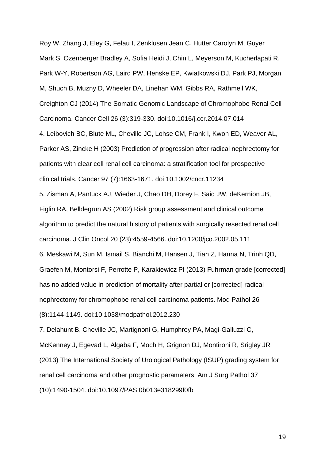Roy W, Zhang J, Eley G, Felau I, Zenklusen Jean C, Hutter Carolyn M, Guyer Mark S, Ozenberger Bradley A, Sofia Heidi J, Chin L, Meyerson M, Kucherlapati R, Park W-Y, Robertson AG, Laird PW, Henske EP, Kwiatkowski DJ, Park PJ, Morgan M, Shuch B, Muzny D, Wheeler DA, Linehan WM, Gibbs RA, Rathmell WK, Creighton CJ (2014) The Somatic Genomic Landscape of Chromophobe Renal Cell Carcinoma. Cancer Cell 26 (3):319-330. doi:10.1016/j.ccr.2014.07.014

4. Leibovich BC, Blute ML, Cheville JC, Lohse CM, Frank I, Kwon ED, Weaver AL, Parker AS, Zincke H (2003) Prediction of progression after radical nephrectomy for patients with clear cell renal cell carcinoma: a stratification tool for prospective clinical trials. Cancer 97 (7):1663-1671. doi:10.1002/cncr.11234

5. Zisman A, Pantuck AJ, Wieder J, Chao DH, Dorey F, Said JW, deKernion JB, Figlin RA, Belldegrun AS (2002) Risk group assessment and clinical outcome algorithm to predict the natural history of patients with surgically resected renal cell carcinoma. J Clin Oncol 20 (23):4559-4566. doi:10.1200/jco.2002.05.111 6. Meskawi M, Sun M, Ismail S, Bianchi M, Hansen J, Tian Z, Hanna N, Trinh QD, Graefen M, Montorsi F, Perrotte P, Karakiewicz PI (2013) Fuhrman grade [corrected] has no added value in prediction of mortality after partial or [corrected] radical nephrectomy for chromophobe renal cell carcinoma patients. Mod Pathol 26 (8):1144-1149. doi:10.1038/modpathol.2012.230

7. Delahunt B, Cheville JC, Martignoni G, Humphrey PA, Magi-Galluzzi C, McKenney J, Egevad L, Algaba F, Moch H, Grignon DJ, Montironi R, Srigley JR (2013) The International Society of Urological Pathology (ISUP) grading system for renal cell carcinoma and other prognostic parameters. Am J Surg Pathol 37 (10):1490-1504. doi:10.1097/PAS.0b013e318299f0fb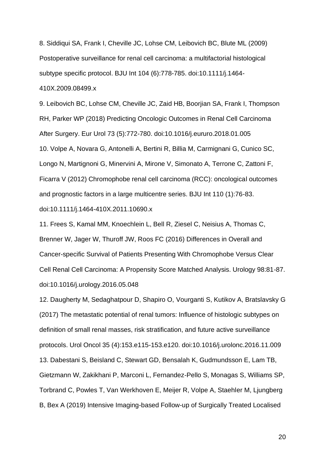8. Siddiqui SA, Frank I, Cheville JC, Lohse CM, Leibovich BC, Blute ML (2009) Postoperative surveillance for renal cell carcinoma: a multifactorial histological subtype specific protocol. BJU Int 104 (6):778-785. doi:10.1111/j.1464- 410X.2009.08499.x

9. Leibovich BC, Lohse CM, Cheville JC, Zaid HB, Boorjian SA, Frank I, Thompson RH, Parker WP (2018) Predicting Oncologic Outcomes in Renal Cell Carcinoma After Surgery. Eur Urol 73 (5):772-780. doi:10.1016/j.eururo.2018.01.005 10. Volpe A, Novara G, Antonelli A, Bertini R, Billia M, Carmignani G, Cunico SC, Longo N, Martignoni G, Minervini A, Mirone V, Simonato A, Terrone C, Zattoni F, Ficarra V (2012) Chromophobe renal cell carcinoma (RCC): oncological outcomes and prognostic factors in a large multicentre series. BJU Int 110 (1):76-83. doi:10.1111/j.1464-410X.2011.10690.x

11. Frees S, Kamal MM, Knoechlein L, Bell R, Ziesel C, Neisius A, Thomas C, Brenner W, Jager W, Thuroff JW, Roos FC (2016) Differences in Overall and Cancer-specific Survival of Patients Presenting With Chromophobe Versus Clear Cell Renal Cell Carcinoma: A Propensity Score Matched Analysis. Urology 98:81-87. doi:10.1016/j.urology.2016.05.048

12. Daugherty M, Sedaghatpour D, Shapiro O, Vourganti S, Kutikov A, Bratslavsky G (2017) The metastatic potential of renal tumors: Influence of histologic subtypes on definition of small renal masses, risk stratification, and future active surveillance protocols. Urol Oncol 35 (4):153.e115-153.e120. doi:10.1016/j.urolonc.2016.11.009 13. Dabestani S, Beisland C, Stewart GD, Bensalah K, Gudmundsson E, Lam TB, Gietzmann W, Zakikhani P, Marconi L, Fernandez-Pello S, Monagas S, Williams SP, Torbrand C, Powles T, Van Werkhoven E, Meijer R, Volpe A, Staehler M, Ljungberg B, Bex A (2019) Intensive Imaging-based Follow-up of Surgically Treated Localised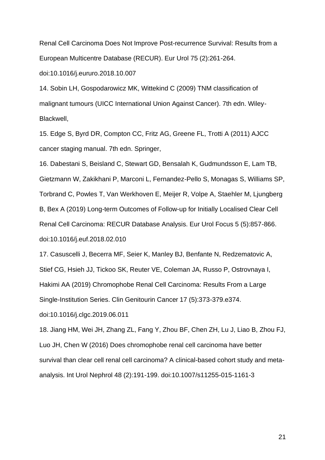Renal Cell Carcinoma Does Not Improve Post-recurrence Survival: Results from a European Multicentre Database (RECUR). Eur Urol 75 (2):261-264.

doi:10.1016/j.eururo.2018.10.007

14. Sobin LH, Gospodarowicz MK, Wittekind C (2009) TNM classification of malignant tumours (UICC International Union Against Cancer). 7th edn. Wiley-Blackwell,

15. Edge S, Byrd DR, Compton CC, Fritz AG, Greene FL, Trotti A (2011) AJCC cancer staging manual. 7th edn. Springer,

16. Dabestani S, Beisland C, Stewart GD, Bensalah K, Gudmundsson E, Lam TB, Gietzmann W, Zakikhani P, Marconi L, Fernandez-Pello S, Monagas S, Williams SP, Torbrand C, Powles T, Van Werkhoven E, Meijer R, Volpe A, Staehler M, Ljungberg B, Bex A (2019) Long-term Outcomes of Follow-up for Initially Localised Clear Cell

Renal Cell Carcinoma: RECUR Database Analysis. Eur Urol Focus 5 (5):857-866.

doi:10.1016/j.euf.2018.02.010

17. Casuscelli J, Becerra MF, Seier K, Manley BJ, Benfante N, Redzematovic A, Stief CG, Hsieh JJ, Tickoo SK, Reuter VE, Coleman JA, Russo P, Ostrovnaya I, Hakimi AA (2019) Chromophobe Renal Cell Carcinoma: Results From a Large Single-Institution Series. Clin Genitourin Cancer 17 (5):373-379.e374.

doi:10.1016/j.clgc.2019.06.011

18. Jiang HM, Wei JH, Zhang ZL, Fang Y, Zhou BF, Chen ZH, Lu J, Liao B, Zhou FJ, Luo JH, Chen W (2016) Does chromophobe renal cell carcinoma have better survival than clear cell renal cell carcinoma? A clinical-based cohort study and metaanalysis. Int Urol Nephrol 48 (2):191-199. doi:10.1007/s11255-015-1161-3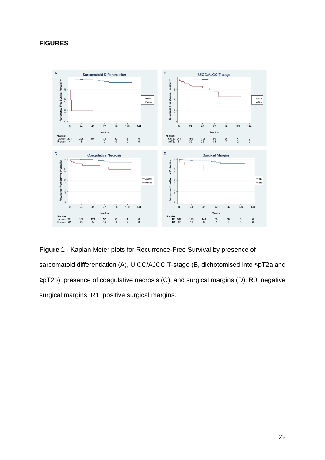## **FIGURES**



**Figure 1** - Kaplan Meier plots for Recurrence-Free Survival by presence of sarcomatoid differentiation (A), UICC/AJCC T-stage (B, dichotomised into ≤pT2a and ≥pT2b), presence of coagulative necrosis (C), and surgical margins (D). R0: negative surgical margins, R1: positive surgical margins.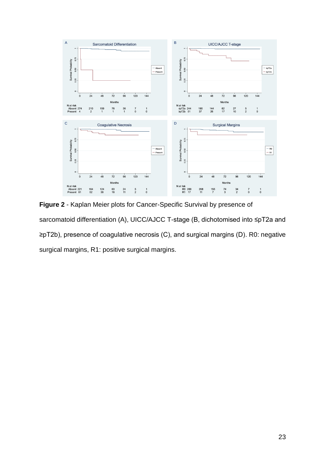

**Figure 2** - Kaplan Meier plots for Cancer-Specific Survival by presence of sarcomatoid differentiation (A), UICC/AJCC T-stage (B, dichotomised into ≤pT2a and ≥pT2b), presence of coagulative necrosis (C), and surgical margins (D). R0: negative surgical margins, R1: positive surgical margins.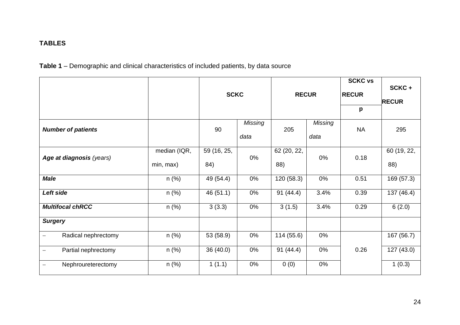# **TABLES**

**Table 1** – Demographic and clinical characteristics of included patients, by data source

|                                                 |                           | <b>SCKC</b>        |                 | <b>RECUR</b>       |                        | <b>SCKC vs</b><br><b>RECUR</b><br>p | SCKC+<br><b>RECUR</b> |
|-------------------------------------------------|---------------------------|--------------------|-----------------|--------------------|------------------------|-------------------------------------|-----------------------|
| <b>Number of patients</b>                       |                           | 90                 | Missing<br>data | 205                | <b>Missing</b><br>data | <b>NA</b>                           | 295                   |
| Age at diagnosis (years)                        | median (IQR,<br>min, max) | 59 (16, 25,<br>84) | 0%              | 62 (20, 22,<br>88) | 0%                     | 0.18                                | 60 (19, 22,<br>88)    |
| <b>Male</b>                                     | $n$ (%)                   | 49 (54.4)          | 0%              | 120 (58.3)         | 0%                     | 0.51                                | 169 (57.3)            |
| Left side                                       | $n$ (%)                   | 46(51.1)           | 0%              | 91(44.4)           | 3.4%                   | 0.39                                | 137 (46.4)            |
| <b>Multifocal chRCC</b>                         | $n$ (%)                   | 3(3.3)             | 0%              | 3(1.5)             | 3.4%                   | 0.29                                | 6(2.0)                |
| <b>Surgery</b>                                  |                           |                    |                 |                    |                        |                                     |                       |
| Radical nephrectomy                             | $n$ (%)                   | 53 (58.9)          | 0%              | 114 (55.6)         | 0%                     |                                     | 167 (56.7)            |
| Partial nephrectomy<br>$\overline{\phantom{0}}$ | $n$ (%)                   | 36 (40.0)          | 0%              | 91(44.4)           | 0%                     | 0.26                                | 127(43.0)             |
| Nephroureterectomy                              | $n$ (%)                   | 1(1.1)             | 0%              | 0(0)               | 0%                     |                                     | 1(0.3)                |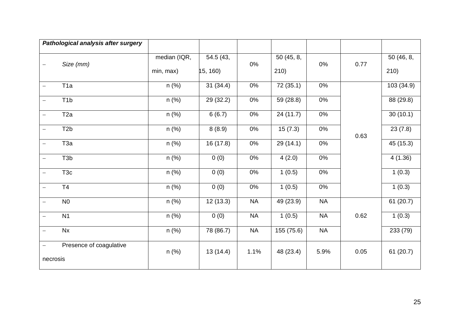| Pathological analysis after surgery          |                           |                      |           |                   |           |      |                   |
|----------------------------------------------|---------------------------|----------------------|-----------|-------------------|-----------|------|-------------------|
| Size (mm)                                    | median (IQR,<br>min, max) | 54.5(43,<br>15, 160) | 0%        | 50(45, 8,<br>210) | 0%        | 0.77 | 50(46, 8,<br>210) |
| T <sub>1</sub> a                             | $n$ (%)                   | 31(34.4)             | 0%        | 72 (35.1)         | 0%        | 0.63 | 103 (34.9)        |
| T <sub>1</sub> b<br>$\overline{\phantom{0}}$ | n (%)                     | 29 (32.2)            | $0\%$     | 59 (28.8)         | $0\%$     |      | 88 (29.8)         |
| T <sub>2a</sub>                              | $n$ (%)                   | 6(6.7)               | 0%        | 24(11.7)          | 0%        |      | 30(10.1)          |
| T <sub>2</sub> b                             | $n$ (%)                   | 8(8.9)               | 0%        | 15(7.3)           | 0%        |      | 23(7.8)           |
| T <sub>3a</sub><br>$\overline{\phantom{m}}$  | $n$ (%)                   | 16 (17.8)            | 0%        | 29 (14.1)         | 0%        |      | 45 (15.3)         |
| T <sub>3</sub> b                             | $n$ (%)                   | 0(0)                 | 0%        | 4(2.0)            | 0%        |      | 4(1.36)           |
| T <sub>3c</sub>                              | n (%)                     | 0(0)                 | 0%        | 1(0.5)            | 0%        |      | 1(0.3)            |
| T <sub>4</sub><br>$\overline{\phantom{0}}$   | $n$ (%)                   | 0(0)                 | 0%        | 1(0.5)            | 0%        |      | 1(0.3)            |
| N <sub>0</sub>                               | $n$ (%)                   | 12(13.3)             | <b>NA</b> | 49(23.9)          | <b>NA</b> |      | 61(20.7)          |
| N <sub>1</sub>                               | $n$ (%)                   | 0(0)                 | <b>NA</b> | 1(0.5)            | NA        | 0.62 | 1(0.3)            |
| Nx<br>$\qquad \qquad -$                      | $n$ (%)                   | 78 (86.7)            | <b>NA</b> | 155 (75.6)        | <b>NA</b> |      | 233 (79)          |
| Presence of coagulative<br>necrosis          | $n$ (%)                   | 13(14.4)             | 1.1%      | 48 (23.4)         | 5.9%      | 0.05 | 61(20.7)          |